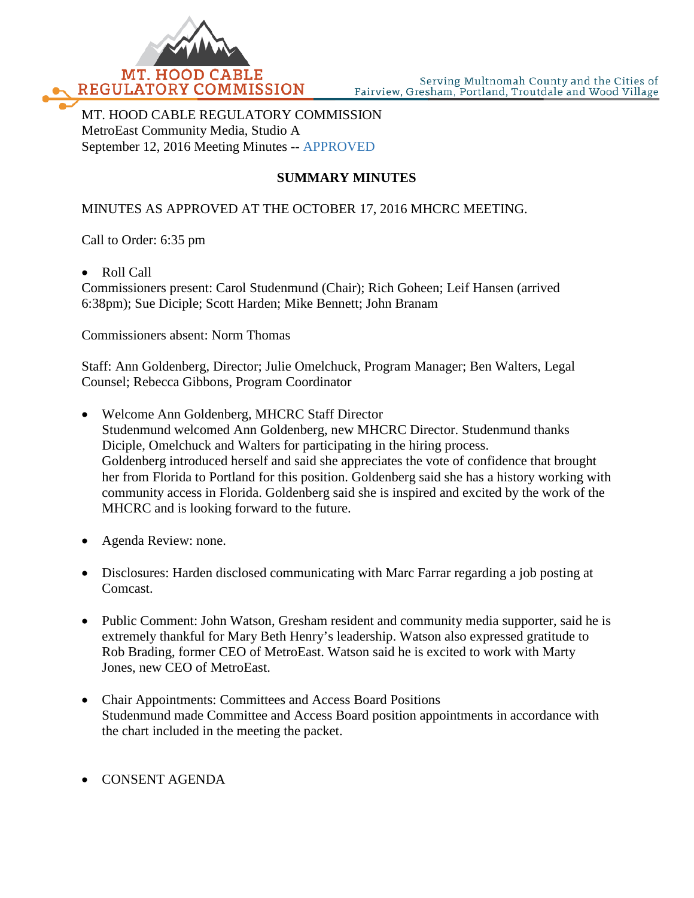

MT. HOOD CABLE REGULATORY COMMISSION MetroEast Community Media, Studio A September 12, 2016 Meeting Minutes -- APPROVED

## **SUMMARY MINUTES**

## MINUTES AS APPROVED AT THE OCTOBER 17, 2016 MHCRC MEETING.

Call to Order: 6:35 pm

• Roll Call

Commissioners present: Carol Studenmund (Chair); Rich Goheen; Leif Hansen (arrived 6:38pm); Sue Diciple; Scott Harden; Mike Bennett; John Branam

Commissioners absent: Norm Thomas

Staff: Ann Goldenberg, Director; Julie Omelchuck, Program Manager; Ben Walters, Legal Counsel; Rebecca Gibbons, Program Coordinator

- Welcome Ann Goldenberg, MHCRC Staff Director Studenmund welcomed Ann Goldenberg, new MHCRC Director. Studenmund thanks Diciple, Omelchuck and Walters for participating in the hiring process. Goldenberg introduced herself and said she appreciates the vote of confidence that brought her from Florida to Portland for this position. Goldenberg said she has a history working with community access in Florida. Goldenberg said she is inspired and excited by the work of the MHCRC and is looking forward to the future.
- Agenda Review: none.
- Disclosures: Harden disclosed communicating with Marc Farrar regarding a job posting at Comcast.
- Public Comment: John Watson, Gresham resident and community media supporter, said he is extremely thankful for Mary Beth Henry's leadership. Watson also expressed gratitude to Rob Brading, former CEO of MetroEast. Watson said he is excited to work with Marty Jones, new CEO of MetroEast.
- Chair Appointments: Committees and Access Board Positions Studenmund made Committee and Access Board position appointments in accordance with the chart included in the meeting the packet.
- CONSENT AGENDA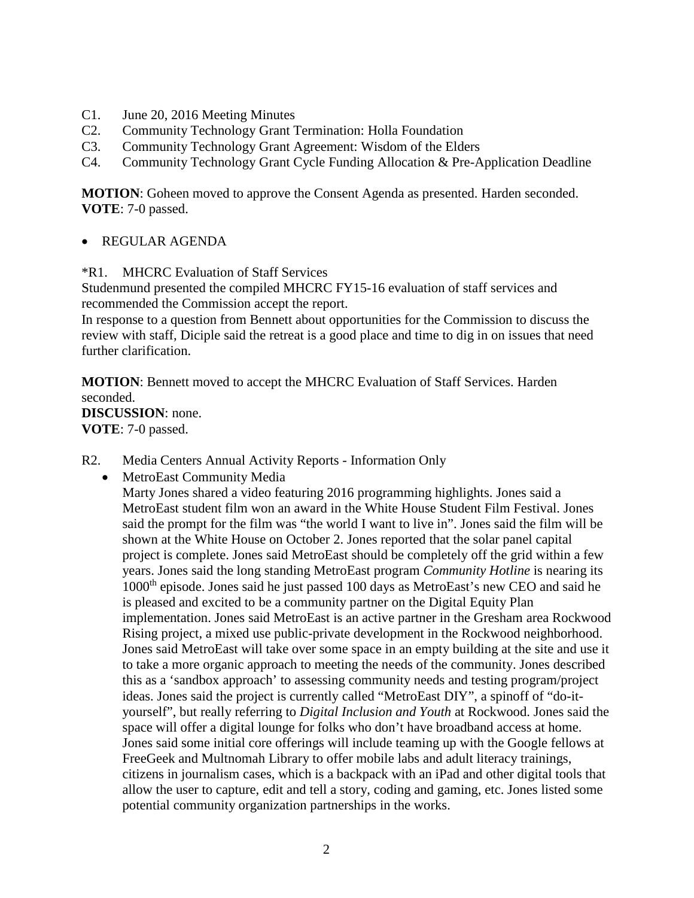- C1. June 20, 2016 Meeting Minutes
- C2. Community Technology Grant Termination: Holla Foundation
- C3. Community Technology Grant Agreement: Wisdom of the Elders
- C4. Community Technology Grant Cycle Funding Allocation & Pre-Application Deadline

**MOTION**: Goheen moved to approve the Consent Agenda as presented. Harden seconded. **VOTE**: 7-0 passed.

- REGULAR AGENDA
- \*R1. MHCRC Evaluation of Staff Services

Studenmund presented the compiled MHCRC FY15-16 evaluation of staff services and recommended the Commission accept the report.

In response to a question from Bennett about opportunities for the Commission to discuss the review with staff, Diciple said the retreat is a good place and time to dig in on issues that need further clarification.

**MOTION**: Bennett moved to accept the MHCRC Evaluation of Staff Services. Harden seconded. **DISCUSSION**: none. **VOTE**: 7-0 passed.

- R2. Media Centers Annual Activity Reports Information Only
	- MetroEast Community Media

Marty Jones shared a video featuring 2016 programming highlights. Jones said a MetroEast student film won an award in the White House Student Film Festival. Jones said the prompt for the film was "the world I want to live in". Jones said the film will be shown at the White House on October 2. Jones reported that the solar panel capital project is complete. Jones said MetroEast should be completely off the grid within a few years. Jones said the long standing MetroEast program *Community Hotline* is nearing its 1000th episode. Jones said he just passed 100 days as MetroEast's new CEO and said he is pleased and excited to be a community partner on the Digital Equity Plan implementation. Jones said MetroEast is an active partner in the Gresham area Rockwood Rising project, a mixed use public-private development in the Rockwood neighborhood. Jones said MetroEast will take over some space in an empty building at the site and use it to take a more organic approach to meeting the needs of the community. Jones described this as a 'sandbox approach' to assessing community needs and testing program/project ideas. Jones said the project is currently called "MetroEast DIY", a spinoff of "do-ityourself", but really referring to *Digital Inclusion and Youth* at Rockwood. Jones said the space will offer a digital lounge for folks who don't have broadband access at home. Jones said some initial core offerings will include teaming up with the Google fellows at FreeGeek and Multnomah Library to offer mobile labs and adult literacy trainings, citizens in journalism cases, which is a backpack with an iPad and other digital tools that allow the user to capture, edit and tell a story, coding and gaming, etc. Jones listed some potential community organization partnerships in the works.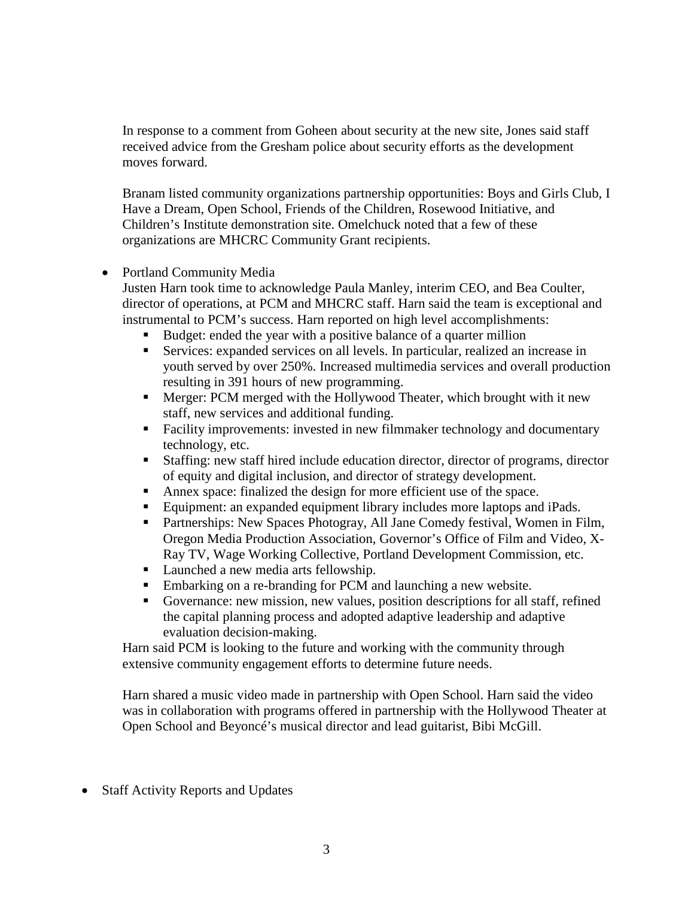In response to a comment from Goheen about security at the new site, Jones said staff received advice from the Gresham police about security efforts as the development moves forward.

Branam listed community organizations partnership opportunities: Boys and Girls Club, I Have a Dream, Open School, Friends of the Children, Rosewood Initiative, and Children's Institute demonstration site. Omelchuck noted that a few of these organizations are MHCRC Community Grant recipients.

• Portland Community Media

Justen Harn took time to acknowledge Paula Manley, interim CEO, and Bea Coulter, director of operations, at PCM and MHCRC staff. Harn said the team is exceptional and instrumental to PCM's success. Harn reported on high level accomplishments:

- Budget: ended the year with a positive balance of a quarter million
- Services: expanded services on all levels. In particular, realized an increase in youth served by over 250%. Increased multimedia services and overall production resulting in 391 hours of new programming.
- Merger: PCM merged with the Hollywood Theater, which brought with it new staff, new services and additional funding.
- Facility improvements: invested in new filmmaker technology and documentary technology, etc.
- Staffing: new staff hired include education director, director of programs, director of equity and digital inclusion, and director of strategy development.
- Annex space: finalized the design for more efficient use of the space.
- Equipment: an expanded equipment library includes more laptops and iPads.
- **Partnerships: New Spaces Photogray, All Jane Comedy festival, Women in Film,** Oregon Media Production Association, Governor's Office of Film and Video, X-Ray TV, Wage Working Collective, Portland Development Commission, etc.
- **Launched a new media arts fellowship.**
- Embarking on a re-branding for PCM and launching a new website.
- Governance: new mission, new values, position descriptions for all staff, refined the capital planning process and adopted adaptive leadership and adaptive evaluation decision-making.

Harn said PCM is looking to the future and working with the community through extensive community engagement efforts to determine future needs.

Harn shared a music video made in partnership with Open School. Harn said the video was in collaboration with programs offered in partnership with the Hollywood Theater at Open School and Beyoncé's musical director and lead guitarist, Bibi McGill.

• Staff Activity Reports and Updates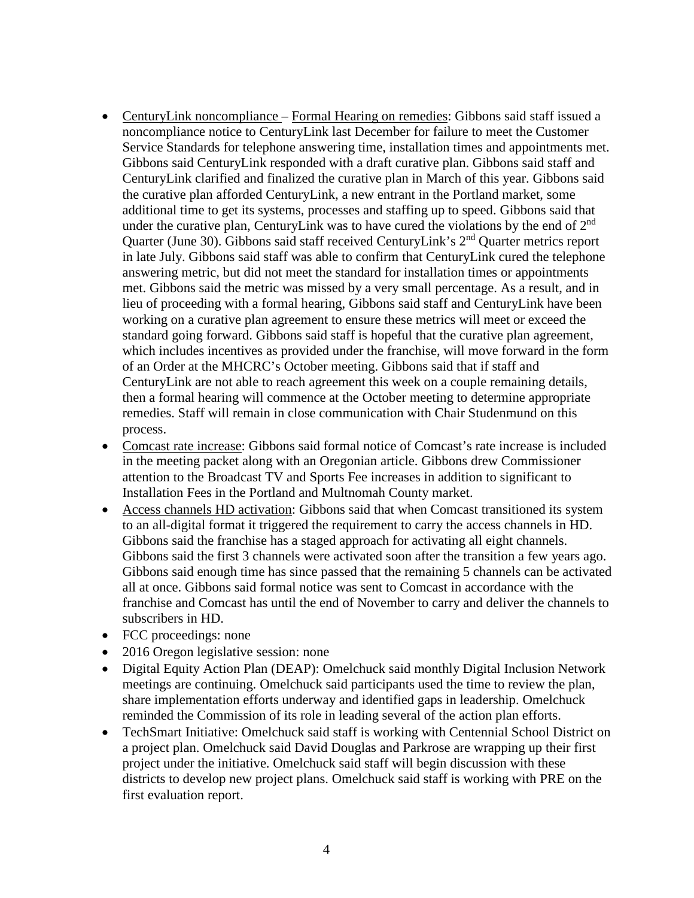- CenturyLink noncompliance Formal Hearing on remedies: Gibbons said staff issued a noncompliance notice to CenturyLink last December for failure to meet the Customer Service Standards for telephone answering time, installation times and appointments met. Gibbons said CenturyLink responded with a draft curative plan. Gibbons said staff and CenturyLink clarified and finalized the curative plan in March of this year. Gibbons said the curative plan afforded CenturyLink, a new entrant in the Portland market, some additional time to get its systems, processes and staffing up to speed. Gibbons said that under the curative plan, CenturyLink was to have cured the violations by the end of 2<sup>nd</sup> Quarter (June 30). Gibbons said staff received CenturyLink's 2<sup>nd</sup> Quarter metrics report in late July. Gibbons said staff was able to confirm that CenturyLink cured the telephone answering metric, but did not meet the standard for installation times or appointments met. Gibbons said the metric was missed by a very small percentage. As a result, and in lieu of proceeding with a formal hearing, Gibbons said staff and CenturyLink have been working on a curative plan agreement to ensure these metrics will meet or exceed the standard going forward. Gibbons said staff is hopeful that the curative plan agreement, which includes incentives as provided under the franchise, will move forward in the form of an Order at the MHCRC's October meeting. Gibbons said that if staff and CenturyLink are not able to reach agreement this week on a couple remaining details, then a formal hearing will commence at the October meeting to determine appropriate remedies. Staff will remain in close communication with Chair Studenmund on this process.
- Comcast rate increase: Gibbons said formal notice of Comcast's rate increase is included in the meeting packet along with an Oregonian article. Gibbons drew Commissioner attention to the Broadcast TV and Sports Fee increases in addition to significant to Installation Fees in the Portland and Multnomah County market.
- Access channels HD activation: Gibbons said that when Comcast transitioned its system to an all-digital format it triggered the requirement to carry the access channels in HD. Gibbons said the franchise has a staged approach for activating all eight channels. Gibbons said the first 3 channels were activated soon after the transition a few years ago. Gibbons said enough time has since passed that the remaining 5 channels can be activated all at once. Gibbons said formal notice was sent to Comcast in accordance with the franchise and Comcast has until the end of November to carry and deliver the channels to subscribers in HD.
- FCC proceedings: none
- 2016 Oregon legislative session: none
- Digital Equity Action Plan (DEAP): Omelchuck said monthly Digital Inclusion Network meetings are continuing. Omelchuck said participants used the time to review the plan, share implementation efforts underway and identified gaps in leadership. Omelchuck reminded the Commission of its role in leading several of the action plan efforts.
- TechSmart Initiative: Omelchuck said staff is working with Centennial School District on a project plan. Omelchuck said David Douglas and Parkrose are wrapping up their first project under the initiative. Omelchuck said staff will begin discussion with these districts to develop new project plans. Omelchuck said staff is working with PRE on the first evaluation report.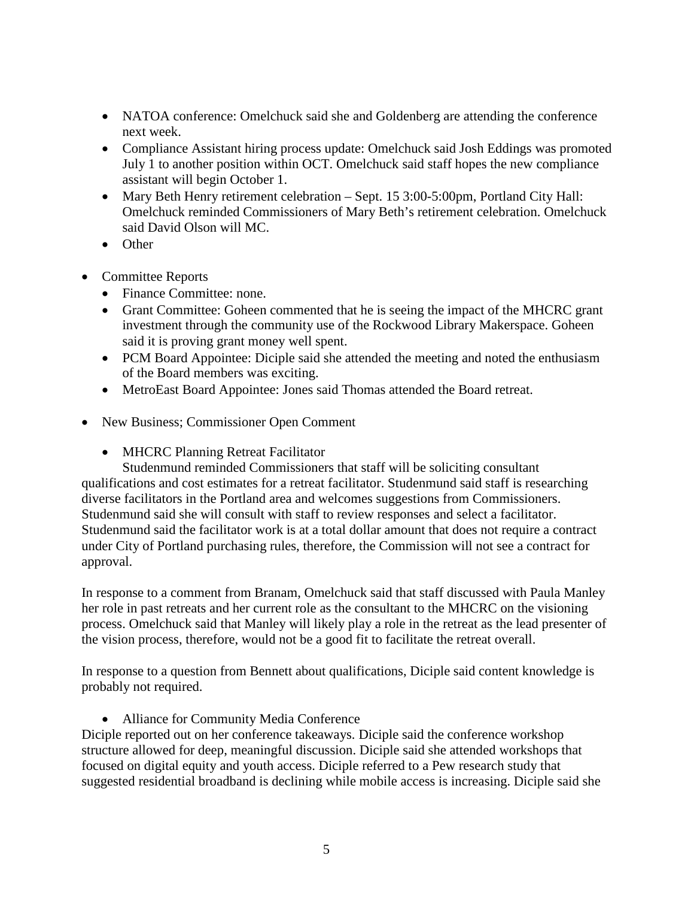- NATOA conference: Omelchuck said she and Goldenberg are attending the conference next week.
- Compliance Assistant hiring process update: Omelchuck said Josh Eddings was promoted July 1 to another position within OCT. Omelchuck said staff hopes the new compliance assistant will begin October 1.
- Mary Beth Henry retirement celebration Sept. 15 3:00-5:00pm, Portland City Hall: Omelchuck reminded Commissioners of Mary Beth's retirement celebration. Omelchuck said David Olson will MC.
- Other
- Committee Reports
	- Finance Committee: none.
	- Grant Committee: Goheen commented that he is seeing the impact of the MHCRC grant investment through the community use of the Rockwood Library Makerspace. Goheen said it is proving grant money well spent.
	- PCM Board Appointee: Diciple said she attended the meeting and noted the enthusiasm of the Board members was exciting.
	- MetroEast Board Appointee: Jones said Thomas attended the Board retreat.
- New Business; Commissioner Open Comment
	- MHCRC Planning Retreat Facilitator

Studenmund reminded Commissioners that staff will be soliciting consultant qualifications and cost estimates for a retreat facilitator. Studenmund said staff is researching diverse facilitators in the Portland area and welcomes suggestions from Commissioners. Studenmund said she will consult with staff to review responses and select a facilitator. Studenmund said the facilitator work is at a total dollar amount that does not require a contract under City of Portland purchasing rules, therefore, the Commission will not see a contract for approval.

In response to a comment from Branam, Omelchuck said that staff discussed with Paula Manley her role in past retreats and her current role as the consultant to the MHCRC on the visioning process. Omelchuck said that Manley will likely play a role in the retreat as the lead presenter of the vision process, therefore, would not be a good fit to facilitate the retreat overall.

In response to a question from Bennett about qualifications, Diciple said content knowledge is probably not required.

• Alliance for Community Media Conference

Diciple reported out on her conference takeaways. Diciple said the conference workshop structure allowed for deep, meaningful discussion. Diciple said she attended workshops that focused on digital equity and youth access. Diciple referred to a Pew research study that suggested residential broadband is declining while mobile access is increasing. Diciple said she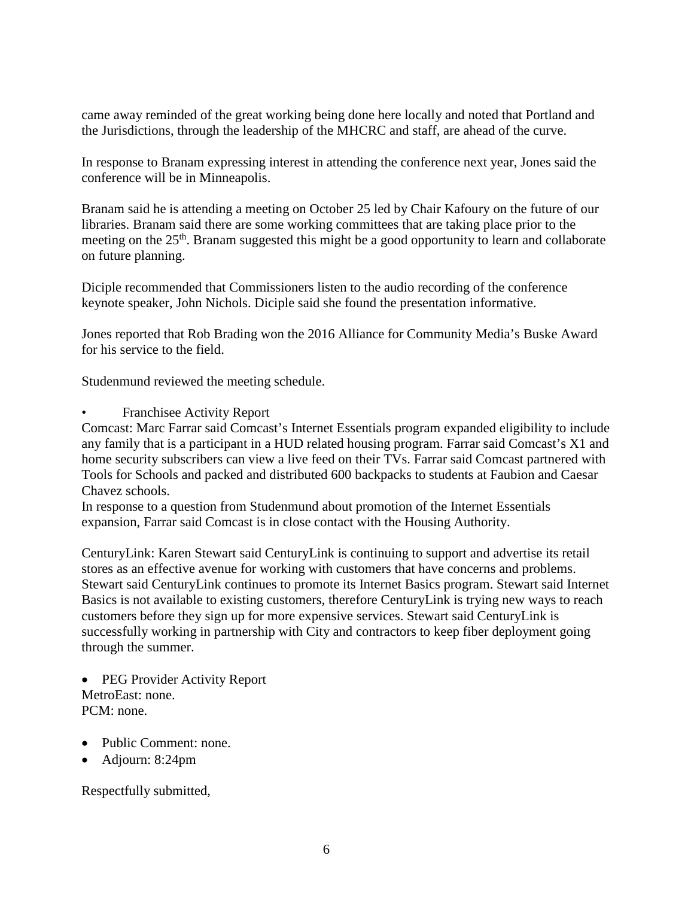came away reminded of the great working being done here locally and noted that Portland and the Jurisdictions, through the leadership of the MHCRC and staff, are ahead of the curve.

In response to Branam expressing interest in attending the conference next year, Jones said the conference will be in Minneapolis.

Branam said he is attending a meeting on October 25 led by Chair Kafoury on the future of our libraries. Branam said there are some working committees that are taking place prior to the meeting on the 25<sup>th</sup>. Branam suggested this might be a good opportunity to learn and collaborate on future planning.

Diciple recommended that Commissioners listen to the audio recording of the conference keynote speaker, John Nichols. Diciple said she found the presentation informative.

Jones reported that Rob Brading won the 2016 Alliance for Community Media's Buske Award for his service to the field.

Studenmund reviewed the meeting schedule.

• Franchisee Activity Report

Comcast: Marc Farrar said Comcast's Internet Essentials program expanded eligibility to include any family that is a participant in a HUD related housing program. Farrar said Comcast's X1 and home security subscribers can view a live feed on their TVs. Farrar said Comcast partnered with Tools for Schools and packed and distributed 600 backpacks to students at Faubion and Caesar Chavez schools.

In response to a question from Studenmund about promotion of the Internet Essentials expansion, Farrar said Comcast is in close contact with the Housing Authority.

CenturyLink: Karen Stewart said CenturyLink is continuing to support and advertise its retail stores as an effective avenue for working with customers that have concerns and problems. Stewart said CenturyLink continues to promote its Internet Basics program. Stewart said Internet Basics is not available to existing customers, therefore CenturyLink is trying new ways to reach customers before they sign up for more expensive services. Stewart said CenturyLink is successfully working in partnership with City and contractors to keep fiber deployment going through the summer.

• PEG Provider Activity Report MetroEast: none. PCM: none.

- Public Comment: none.
- Adjourn: 8:24pm

Respectfully submitted,